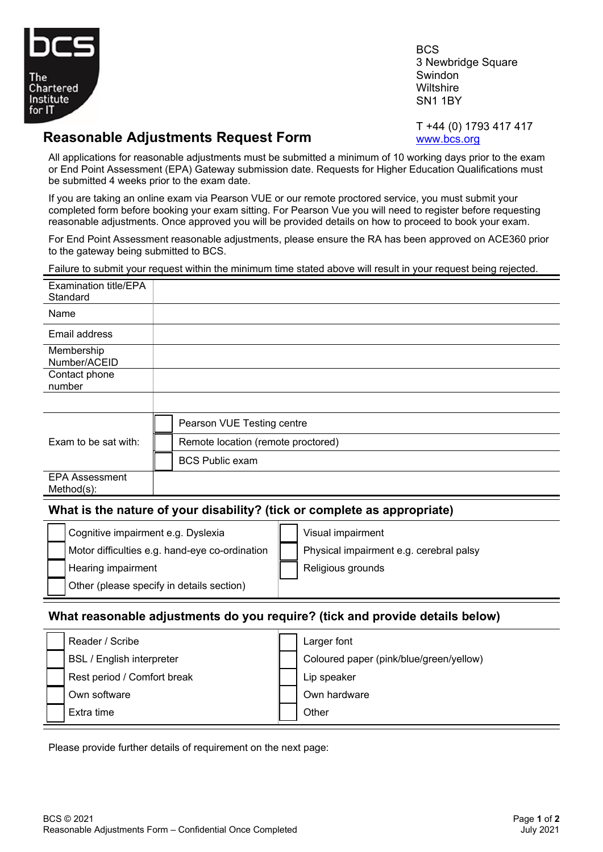

**BCS** 3 Newbridge Square Swindon **Wiltshire** SN1 1BY

## **Reasonable Adjustments Request Form**

T +44 (0) 1793 417 417 [www.bcs.org](http://www.bcs.org/)

All applications for reasonable adjustments must be submitted a minimum of 10 working days prior to the exam or End Point Assessment (EPA) Gateway submission date. Requests for Higher Education Qualifications must be submitted 4 weeks prior to the exam date.

If you are taking an online exam via Pearson VUE or our remote proctored service, you must submit your completed form before booking your exam sitting. For Pearson Vue you will need to register before requesting reasonable adjustments. Once approved you will be provided details on how to proceed to book your exam.

For End Point Assessment reasonable adjustments, please ensure the RA has been approved on ACE360 prior to the gateway being submitted to BCS.

Failure to submit your request within the minimum time stated above will result in your request being rejected.

|                                                                              | Pallule to subfilit your request within the millimitum time stated above will result in your request being rejected. |  |  |  |  |
|------------------------------------------------------------------------------|----------------------------------------------------------------------------------------------------------------------|--|--|--|--|
| <b>Examination title/EPA</b><br>Standard                                     |                                                                                                                      |  |  |  |  |
| Name                                                                         |                                                                                                                      |  |  |  |  |
| Email address                                                                |                                                                                                                      |  |  |  |  |
| Membership<br>Number/ACEID                                                   |                                                                                                                      |  |  |  |  |
| Contact phone<br>number                                                      |                                                                                                                      |  |  |  |  |
|                                                                              |                                                                                                                      |  |  |  |  |
|                                                                              | Pearson VUE Testing centre                                                                                           |  |  |  |  |
| Exam to be sat with:                                                         | Remote location (remote proctored)                                                                                   |  |  |  |  |
|                                                                              | <b>BCS Public exam</b>                                                                                               |  |  |  |  |
| <b>EPA Assessment</b><br>$Method(s)$ :                                       |                                                                                                                      |  |  |  |  |
| What is the nature of your disability? (tick or complete as appropriate)     |                                                                                                                      |  |  |  |  |
| Cognitive impairment e.g. Dyslexia                                           | Visual impairment                                                                                                    |  |  |  |  |
|                                                                              | Motor difficulties e.g. hand-eye co-ordination<br>Physical impairment e.g. cerebral palsy                            |  |  |  |  |
| Hearing impairment                                                           | Religious grounds                                                                                                    |  |  |  |  |
|                                                                              | Other (please specify in details section)                                                                            |  |  |  |  |
| What reasonable adjustments do you require? (tick and provide details below) |                                                                                                                      |  |  |  |  |

|                                  | Reader / Scribe             | Larger font                             |
|----------------------------------|-----------------------------|-----------------------------------------|
| <b>BSL / English interpreter</b> |                             | Coloured paper (pink/blue/green/yellow) |
|                                  | Rest period / Comfort break | Lip speaker                             |
|                                  | Own software                | Own hardware                            |
|                                  | Extra time                  | Other                                   |

Please provide further details of requirement on the next page: